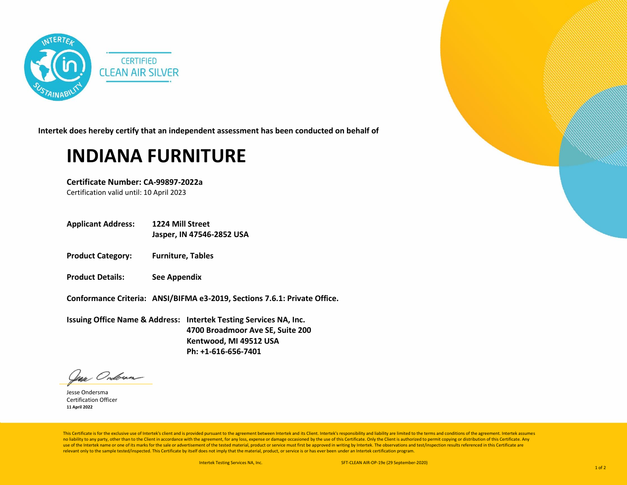

**Intertek does hereby certify that an independent assessment has been conducted on behalf of**

## **INDIANA FURNITURE**

**Certificate Number: CA-99897-2022a** Certification valid until: 10 April 2023

**Applicant Address: 1224 Mill Street**

**Jasper, IN 47546-2852 USA** 

- **Product Category: Furniture, Tables**
- **Product Details: See Appendix**

**Conformance Criteria: ANSI/BIFMA e3-2019, Sections 7.6.1: Private Office.**

**Issuing Office Name & Address: Intertek Testing Services NA, Inc. 4700 Broadmoor Ave SE, Suite 200 Kentwood, MI 49512 USA Ph: +1-616-656-7401**

Var Ondoran

Jesse Ondersma Certification Officer **11 April 2022**

This Certificate is for the exclusive use of Intertek's client and is provided pursuant to the agreement between Intertek and its Client. Intertek's responsibility and liability are limited to the terms and conditions of t no liability to any party, other than to the Client in accordance with the agreement, for any loss, expense or damage occasioned by the use of this Certificate. Only the Client is authorized to permit copying or distributi use of the Intertek name or one of its marks for the sale or advertisement of the tested material, product or service must first be approved in writing by Intertek. The observations and test/inspection results referenced i relevant only to the sample tested/inspected. This Certificate by itself does not imply that the material, product, or service is or has ever been under an Intertek certification program.